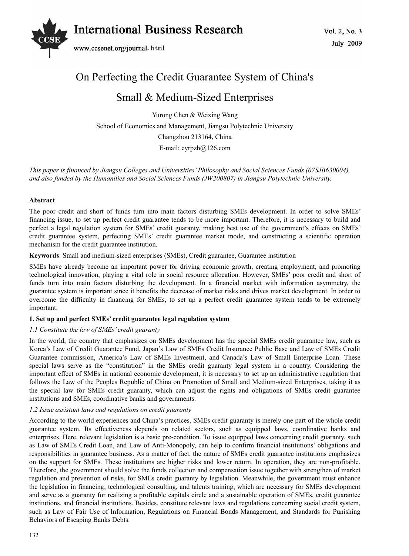# Vol. 2, No. 3 *International Business Research*



# On Perfecting the Credit Guarantee System of China's

# Small & Medium-Sized Enterprises

Yurong Chen & Weixing Wang School of Economics and Management, Jiangsu Polytechnic University Changzhou 213164, China E-mail: cyrpzh@126.com

*This paper is financed by Jiangsu Colleges and Universities' Philosophy and Social Sciences Funds (07SJB630004), and also funded by the Humanities and Social Sciences Funds (JW200807) in Jiangsu Polytechnic University.* 

# **Abstract**

The poor credit and short of funds turn into main factors disturbing SMEs development. In order to solve SMEs' financing issue, to set up perfect credit guarantee tends to be more important. Therefore, it is necessary to build and perfect a legal regulation system for SMEs' credit guaranty, making best use of the government's effects on SMEs' credit guarantee system, perfecting SMEs' credit guarantee market mode, and constructing a scientific operation mechanism for the credit guarantee institution.

**Keywords**: Small and medium-sized enterprises (SMEs), Credit guarantee, Guarantee institution

SMEs have already become an important power for driving economic growth, creating employment, and promoting technological innovation, playing a vital role in social resource allocation. However, SMEs' poor credit and short of funds turn into main factors disturbing the development. In a financial market with information asymmetry, the guarantee system is important since it benefits the decrease of market risks and drives market development. In order to overcome the difficulty in financing for SMEs, to set up a perfect credit guarantee system tends to be extremely important.

# **1. Set up and perfect SMEs' credit guarantee legal regulation system**

# *1.1 Constitute the law of SMEs' credit guaranty*

In the world, the country that emphasizes on SMEs development has the special SMEs credit guarantee law, such as Korea's Law of Credit Guarantee Fund, Japan's Law of SMEs Credit Insurance Public Base and Law of SMEs Credit Guarantee commission, America's Law of SMEs Investment, and Canada's Law of Small Enterprise Loan. These special laws serve as the "constitution" in the SMEs credit guaranty legal system in a country. Considering the important effect of SMEs in national economic development, it is necessary to set up an administrative regulation that follows the Law of the Peoples Republic of China on Promotion of Small and Medium-sized Enterprises, taking it as the special law for SMEs credit guaranty, which can adjust the rights and obligations of SMEs credit guarantee institutions and SMEs, coordinative banks and governments.

# *1.2 Issue assistant laws and regulations on credit guaranty*

According to the world experiences and China's practices, SMEs credit guaranty is merely one part of the whole credit guarantee system. Its effectiveness depends on related sectors, such as equipped laws, coordinative banks and enterprises. Here, relevant legislation is a basic pre-condition. To issue equipped laws concerning credit guaranty, such as Law of SMEs Credit Loan, and Law of Anti-Monopoly, can help to confirm financial institutions' obligations and responsibilities in guarantee business. As a matter of fact, the nature of SMEs credit guarantee institutions emphasizes on the support for SMEs. These institutions are higher risks and lower return. In operation, they are non-profitable. Therefore, the government should solve the funds collection and compensation issue together with strengthen of market regulation and prevention of risks, for SMEs credit guaranty by legislation. Meanwhile, the government must enhance the legislation in financing, technological consulting, and talents training, which are necessary for SMEs development and serve as a guaranty for realizing a profitable capitals circle and a sustainable operation of SMEs, credit guarantee institutions, and financial institutions. Besides, constitute relevant laws and regulations concerning social credit system, such as Law of Fair Use of Information, Regulations on Financial Bonds Management, and Standards for Punishing Behaviors of Escaping Banks Debts.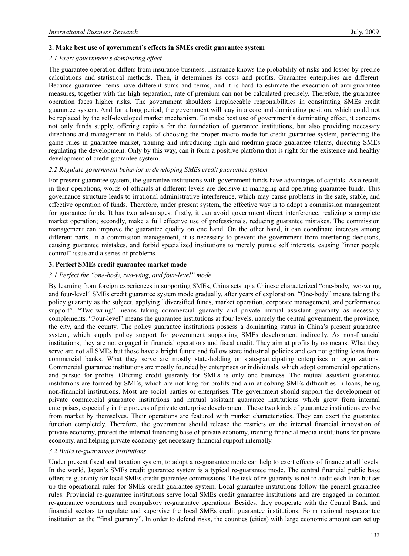#### **2. Make best use of government's effects in SMEs credit guarantee system**

#### *2.1 Exert government's dominating effect*

The guarantee operation differs from insurance business. Insurance knows the probability of risks and losses by precise calculations and statistical methods. Then, it determines its costs and profits. Guarantee enterprises are different. Because guarantee items have different sums and terms, and it is hard to estimate the execution of anti-guarantee measures, together with the high separation, rate of premium can not be calculated precisely. Therefore, the guarantee operation faces higher risks. The government shoulders irreplaceable responsibilities in constituting SMEs credit guarantee system. And for a long period, the government will stay in a core and dominating position, which could not be replaced by the self-developed market mechanism. To make best use of government's dominating effect, it concerns not only funds supply, offering capitals for the foundation of guarantee institutions, but also providing necessary directions and management in fields of choosing the proper macro mode for credit guarantee system, perfecting the game rules in guarantee market, training and introducing high and medium-grade guarantee talents, directing SMEs regulating the development. Only by this way, can it form a positive platform that is right for the existence and healthy development of credit guarantee system.

#### *2.2 Regulate government behavior in developing SMEs credit guarantee system*

For present guarantee system, the guarantee institutions with government funds have advantages of capitals. As a result, in their operations, words of officials at different levels are decisive in managing and operating guarantee funds. This governance structure leads to irrational administrative interference, which may cause problems in the safe, stable, and effective operation of funds. Therefore, under present system, the effective way is to adopt a commission management for guarantee funds. It has two advantages: firstly, it can avoid government direct interference, realizing a complete market operation; secondly, make a full effective use of professionals, reducing guarantee mistakes. The commission management can improve the guarantee quality on one hand. On the other hand, it can coordinate interests among different parts. In a commission management, it is necessary to prevent the government from interfering decisions, causing guarantee mistakes, and forbid specialized institutions to merely pursue self interests, causing "inner people control" issue and a series of problems.

#### **3. Perfect SMEs credit guarantee market mode**

#### *3.1 Perfect the "one-body, two-wing, and four-level" mode*

By learning from foreign experiences in supporting SMEs, China sets up a Chinese characterized "one-body, two-wring, and four-level" SMEs credit guarantee system mode gradually, after years of exploration. "One-body" means taking the policy guaranty as the subject, applying "diversified funds, market operation, corporate management, and performance support". "Two-wring" means taking commercial guaranty and private mutual assistant guaranty as necessary complements. "Four-level" means the guarantee institutions at four levels, namely the central government, the province, the city, and the county. The policy guarantee institutions possess a dominating status in China's present guarantee system, which supply policy support for government supporting SMEs development indirectly. As non-financial institutions, they are not engaged in financial operations and fiscal credit. They aim at profits by no means. What they serve are not all SMEs but those have a bright future and follow state industrial policies and can not getting loans from commercial banks. What they serve are mostly state-holding or state-participating enterprises or organizations. Commercial guarantee institutions are mostly founded by enterprises or individuals, which adopt commercial operations and pursue for profits. Offering credit guaranty for SMEs is only one business. The mutual assistant guarantee institutions are formed by SMEs, which are not long for profits and aim at solving SMEs difficulties in loans, being non-financial institutions. Most are social parties or enterprises. The government should support the development of private commercial guarantee institutions and mutual assistant guarantee institutions which grow from internal enterprises, especially in the process of private enterprise development. These two kinds of guarantee institutions evolve from market by themselves. Their operations are featured with market characteristics. They can exert the guarantee function completely. Therefore, the government should release the restricts on the internal financial innovation of private economy, protect the internal financing base of private economy, training financial media institutions for private economy, and helping private economy get necessary financial support internally.

#### *3.2 Build re-guarantees institutions*

Under present fiscal and taxation system, to adopt a re-guarantee mode can help to exert effects of finance at all levels. In the world, Japan's SMEs credit guarantee system is a typical re-guarantee mode. The central financial public base offers re-guaranty for local SMEs credit guarantee commissions. The task of re-guaranty is not to audit each loan but set up the operational rules for SMEs credit guarantee system. Local guarantee institutions follow the general guarantee rules. Provincial re-guarantee institutions serve local SMEs credit guarantee institutions and are engaged in common re-guarantee operations and compulsory re-guarantee operations. Besides, they cooperate with the Central Bank and financial sectors to regulate and supervise the local SMEs credit guarantee institutions. Form national re-guarantee institution as the "final guaranty". In order to defend risks, the counties (cities) with large economic amount can set up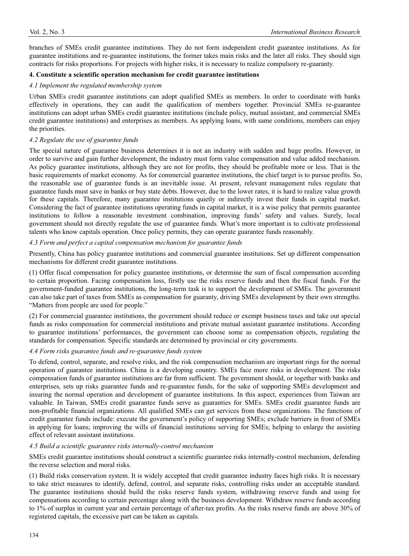branches of SMEs credit guarantee institutions. They do not form independent credit guarantee institutions. As for guarantee institutions and re-guarantee institutions, the former takes main risks and the later all risks. They should sign contracts for risks proportions. For projects with higher risks, it is necessary to realize compulsory re-guaranty.

### **4. Constitute a scientific operation mechanism for credit guarantee institutions**

### *4.1 Implement the regulated membership system*

Urban SMEs credit guarantee institutions can adopt qualified SMEs as members. In order to coordinate with banks effectively in operations, they can audit the qualification of members together. Provincial SMEs re-guarantee institutions can adopt urban SMEs credit guarantee institutions (include policy, mutual assistant, and commercial SMEs credit guarantee institutions) and enterprises as members. As applying loans, with same conditions, members can enjoy the priorities.

# *4.2 Regulate the use of guarantee funds*

The special nature of guarantee business determines it is not an industry with sudden and huge profits. However, in order to survive and gain further development, the industry must form value compensation and value added mechanism. As policy guarantee institutions, although they are not for profits, they should be profitable more or less. That is the basic requirements of market economy. As for commercial guarantee institutions, the chief target is to pursue profits. So, the reasonable use of guarantee funds is an inevitable issue. At present, relevant management rules regulate that guarantee funds must save in banks or buy state debts. However, due to the lower rates, it is hard to realize value growth for these capitals. Therefore, many guarantee institutions quietly or indirectly invest their funds in capital market. Considering the fact of guarantee institutions operating funds in capital market, it is a wise policy that permits guarantee institutions to follow a reasonable investment combination, improving funds' safety and values. Surely, local government should not directly regulate the use of guarantee funds. What's more important is to cultivate professional talents who know capitals operation. Once policy permits, they can operate guarantee funds reasonably.

## *4.3 Form and perfect a capital compensation mechanism for guarantee funds*

Presently, China has policy guarantee institutions and commercial guarantee institutions. Set up different compensation mechanisms for different credit guarantee institutions.

(1) Offer fiscal compensation for policy guarantee institutions, or determine the sum of fiscal compensation according to certain proportion. Facing compensation loss, firstly use the risks reserve funds and then the fiscal funds. For the government-funded guarantee institutions, the long-term task is to support the development of SMEs. The government can also take part of taxes from SMEs as compensation for guaranty, driving SMEs development by their own strengths. "Matters from people are used for people."

(2) For commercial guarantee institutions, the government should reduce or exempt business taxes and take out special funds as risks compensation for commercial institutions and private mutual assistant guarantee institutions. According to guarantee institutions' performances, the government can choose some as compensation objects, regulating the standards for compensation. Specific standards are determined by provincial or city governments.

# *4.4 Form risks guarantee funds and re-guarantee funds system*

To defend, control, separate, and resolve risks, and the risk compensation mechanism are important rings for the normal operation of guarantee institutions. China is a developing country. SMEs face more risks in development. The risks compensation funds of guarantee institutions are far from sufficient. The government should, or together with banks and enterprises, sets up risks guarantee funds and re-guarantee funds, for the sake of supporting SMEs development and insuring the normal operation and development of guarantee institutions. In this aspect, experiences from Taiwan are valuable. In Taiwan, SMEs credit guarantee funds serve as guaranties for SMEs. SMEs credit guarantee funds are non-profitable financial organizations. All qualified SMEs can get services from these organizations. The functions of credit guarantee funds include: execute the government's policy of supporting SMEs; exclude barriers in front of SMEs in applying for loans; improving the wills of financial institutions serving for SMEs; helping to enlarge the assisting effect of relevant assistant institutions.

#### *4.5 Build a scientific guarantee risks internally-control mechanism*

SMEs credit guarantee institutions should construct a scientific guarantee risks internally-control mechanism, defending the reverse selection and moral risks.

(1) Build risks conservation system. It is widely accepted that credit guarantee industry faces high risks. It is necessary to take strict measures to identify, defend, control, and separate risks, controlling risks under an acceptable standard. The guarantee institutions should build the risks reserve funds system, withdrawing reserve funds and using for compensations according to certain percentage along with the business development. Withdraw reserve funds according to 1% of surplus in current year and certain percentage of after-tax profits. As the risks reserve funds are above 30% of registered capitals, the excessive part can be taken as capitals.